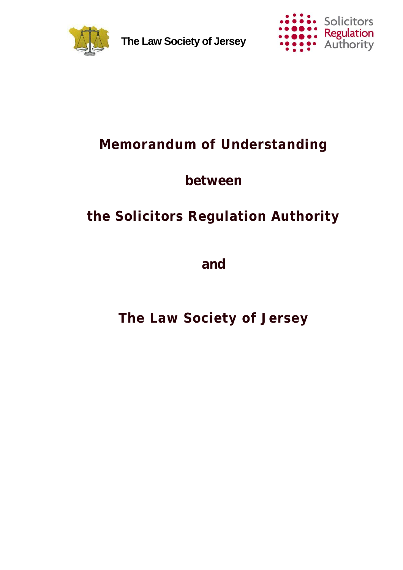

**The Law Society of Jersey**



## **Memorandum of Understanding**

## **between**

# **the Solicitors Regulation Authority**

**and**

**The Law Society of Jersey**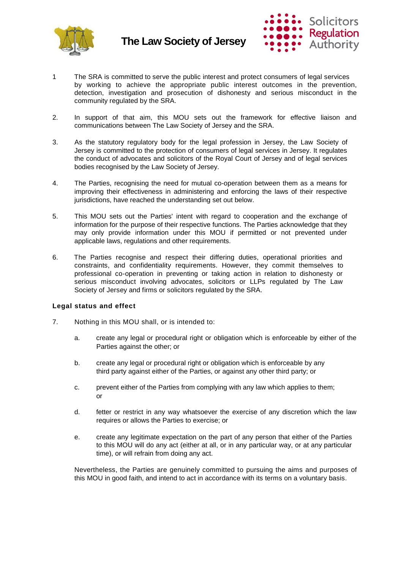



- 1 The SRA is committed to serve the public interest and protect consumers of legal services by working to achieve the appropriate public interest outcomes in the prevention, detection, investigation and prosecution of dishonesty and serious misconduct in the community regulated by the SRA.
- 2. In support of that aim, this MOU sets out the framework for effective liaison and communications between The Law Society of Jersey and the SRA.
- 3. As the statutory regulatory body for the legal profession in Jersey, the Law Society of Jersey is committed to the protection of consumers of legal services in Jersey. It regulates the conduct of advocates and solicitors of the Royal Court of Jersey and of legal services bodies recognised by the Law Society of Jersey.
- 4. The Parties, recognising the need for mutual co-operation between them as a means for improving their effectiveness in administering and enforcing the laws of their respective jurisdictions, have reached the understanding set out below.
- 5. This MOU sets out the Parties' intent with regard to cooperation and the exchange of information for the purpose of their respective functions. The Parties acknowledge that they may only provide information under this MOU if permitted or not prevented under applicable laws, regulations and other requirements.
- 6. The Parties recognise and respect their differing duties, operational priorities and constraints, and confidentiality requirements. However, they commit themselves to professional co-operation in preventing or taking action in relation to dishonesty or serious misconduct involving advocates, solicitors or LLPs regulated by The Law Society of Jersey and firms or solicitors regulated by the SRA.

### **Legal status and effect**

- 7. Nothing in this MOU shall, or is intended to:
	- a. create any legal or procedural right or obligation which is enforceable by either of the Parties against the other; or
	- b. create any legal or procedural right or obligation which is enforceable by any third party against either of the Parties, or against any other third party; or
	- c. prevent either of the Parties from complying with any law which applies to them; or
	- d. fetter or restrict in any way whatsoever the exercise of any discretion which the law requires or allows the Parties to exercise; or
	- e. create any legitimate expectation on the part of any person that either of the Parties to this MOU will do any act (either at all, or in any particular way, or at any particular time), or will refrain from doing any act.

Nevertheless, the Parties are genuinely committed to pursuing the aims and purposes of this MOU in good faith, and intend to act in accordance with its terms on a voluntary basis.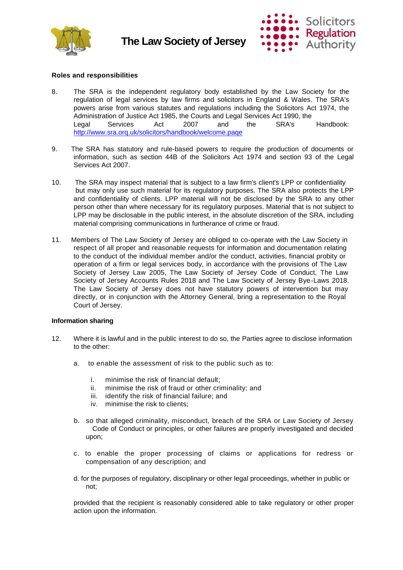



### **Roles and responsibilities**

- 8. The SRA is the independent regulatory body established by the Law Society for the regulation of legal services by law firms and solicitors in England & Wales. The SRA's powers arise from various statutes and regulations including the Solicitors Act 1974, the Administration of Justice Act 1985, the Courts and Legal Services Act 1990, the Legal Services Act 2007 and the SRA's Handbook: <http://www.sra.orq.uk/solicitors/handbook/welcome.paqe>
- 9. The SRA has statutory and rule-based powers to require the production of documents or information, such as section 44B of the Solicitors Act 1974 and section 93 of the Legal Services Act 2007.
- 10. The SRA may inspect material that is subject to a law firm's client's LPP or confidentiality but may only use such material for its regulatory purposes. The SRA also protects the LPP and confidentiality of clients. LPP material will not be disclosed by the SRA to any other person other than where necessary for its regulatory purposes. Material that is not subject to LPP may be disclosable in the public interest, in the absolute discretion of the SRA, including material comprising communications in furtherance of crime or fraud.
- 11. Members of The Law Society of Jersey are obliged to co-operate with the Law Society in respect of all proper and reasonable requests for information and documentation relating to the conduct of the individual member and/or the conduct, activities, financial probity or operation of a firm or legal services body, in accordance with the provisions of The Law Society of Jersey Law 2005, The Law Society of Jersey Code of Conduct, The Law Society of Jersey Accounts Rules 2018 and The Law Society of Jersey Bye-Laws 2018. The Law Society of Jersey does not have statutory powers of intervention but may directly, or in conjunction with the Attorney General, bring a representation to the Royal Court of Jersey.

### **Information sharing**

- 12. Where it is lawful and in the public interest to do so, the Parties agree to disclose information to the other:
	- a. to enable the assessment of risk to the public such as to:
		- i. minimise the risk of financial default;
		- ii. minimise the risk of fraud or other criminality; and
		- iii. identify the risk of financial failure; and
		- iv. minimise the risk to clients;
	- b. so that alleged criminality, misconduct, breach of the SRA or Law Society of Jersey Code of Conduct or principles, or other failures are properly investigated and decided upon;
	- c. to enable the proper processing of claims or applications for redress or compensation of any description; and
	- d. for the purposes of regulatory, disciplinary or other legal proceedings, whether in public or not;

provided that the recipient is reasonably considered able to take regulatory or other proper action upon the information.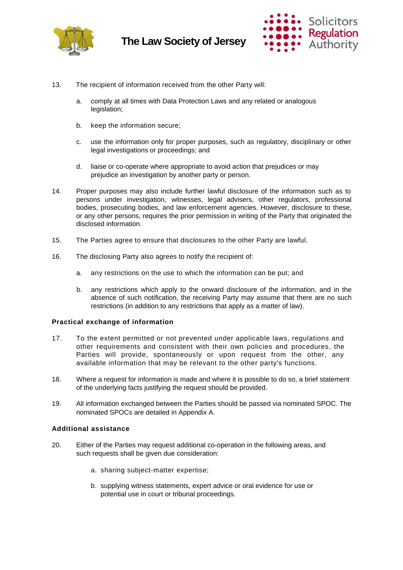



- 13. The recipient of information received from the other Party will:
	- a. comply at all times with Data Protection Laws and any related or analogous legislation;
	- b. keep the information secure;
	- c. use the information only for proper purposes, such as regulatory, disciplinary or other legal investigations or proceedings; and
	- d. liaise or co-operate where appropriate to avoid action that prejudices or may prejudice an investigation by another party or person.
- 14. Proper purposes may also include further lawful disclosure of the information such as to persons under investigation, witnesses, legal advisers, other regulators, professional bodies, prosecuting bodies, and law enforcement agencies. However, disclosure to these, or any other persons, requires the prior permission in writing of the Party that originated the disclosed information.
- 15. The Parties agree to ensure that disclosures to the other Party are lawful.
- 16. The disclosing Party also agrees to notify the recipient of:
	- a. any restrictions on the use to which the information can be put; and
	- b. any restrictions which apply to the onward disclosure of the information, and in the absence of such notification, the receiving Party may assume that there are no such restrictions (in addition to any restrictions that apply as a matter of law).

### **Practical exchange of information**

- 17. To the extent permitted or not prevented under applicable laws, regulations and other requirements and consistent with their own policies and procedures, the Parties will provide, spontaneously or upon request from the other, any available information that may be relevant to the other party's functions.
- 18. Where a request for information is made and where it is possible to do so, a brief statement of the underlying facts justifying the request should be provided.
- 19. All information exchanged between the Parties should be passed via nominated SPOC. The nominated SPOCs are detailed in Appendix A.

### **Additional assistance**

- 20. Either of the Parties may request additional co-operation in the following areas, and such requests shall be given due consideration:
	- a. sharing subject-matter expertise;
	- b. supplying witness statements, expert advice or oral evidence for use or potential use in court or tribunal proceedings.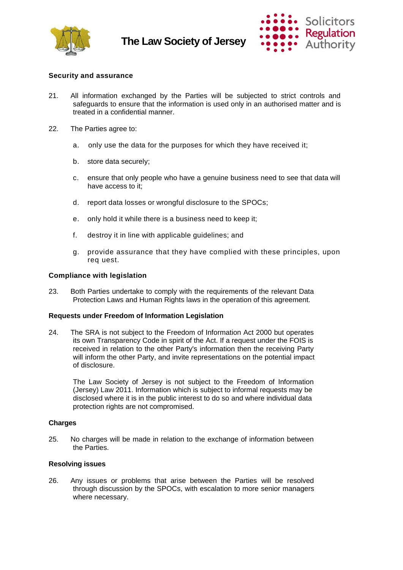

### **The Law Society of Jersey**



### **Security and assurance**

- 21. All information exchanged by the Parties will be subjected to strict controls and safeguards to ensure that the information is used only in an authorised matter and is treated in a confidential manner.
- 22. The Parties agree to:
	- a. only use the data for the purposes for which they have received it;
	- b. store data securely;
	- c. ensure that only people who have a genuine business need to see that data will have access to it;
	- d. report data losses or wrongful disclosure to the SPOCs;
	- e. only hold it while there is a business need to keep it;
	- f. destroy it in line with applicable guidelines; and
	- g. provide assurance that they have complied with these principles, upon req uest.

### **Compliance with legislation**

23. Both Parties undertake to comply with the requirements of the relevant Data Protection Laws and Human Rights laws in the operation of this agreement.

### **Requests under Freedom of Information Legislation**

24. The SRA is not subject to the Freedom of Information Act 2000 but operates its own Transparency Code in spirit of the Act. If a request under the FOIS is received in relation to the other Party's information then the receiving Party will inform the other Party, and invite representations on the potential impact of disclosure.

The Law Society of Jersey is not subject to the Freedom of Information (Jersey) Law 2011. Information which is subject to informal requests may be disclosed where it is in the public interest to do so and where individual data protection rights are not compromised.

### **Charges**

25. No charges will be made in relation to the exchange of information between the Parties.

### **Resolving issues**

26. Any issues or problems that arise between the Parties will be resolved through discussion by the SPOCs, with escalation to more senior managers where necessary.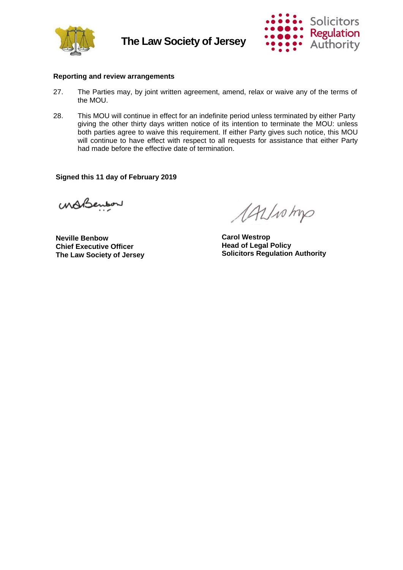



### **Reporting and review arrangements**

- 27. The Parties may, by joint written agreement, amend, relax or waive any of the terms of the MOU.
- 28. This MOU will continue in effect for an indefinite period unless terminated by either Party giving the other thirty days written notice of its intention to terminate the MOU: unless both parties agree to waive this requirement. If either Party gives such notice, this MOU will continue to have effect with respect to all requests for assistance that either Party had made before the effective date of termination.

**Signed this 11 day of February 2019**

MABenbor

**Neville Benbow Chief Executive Officer The Law Society of Jersey**

AALINAD

**Carol Westrop Head of Legal Policy Solicitors Regulation Authority**